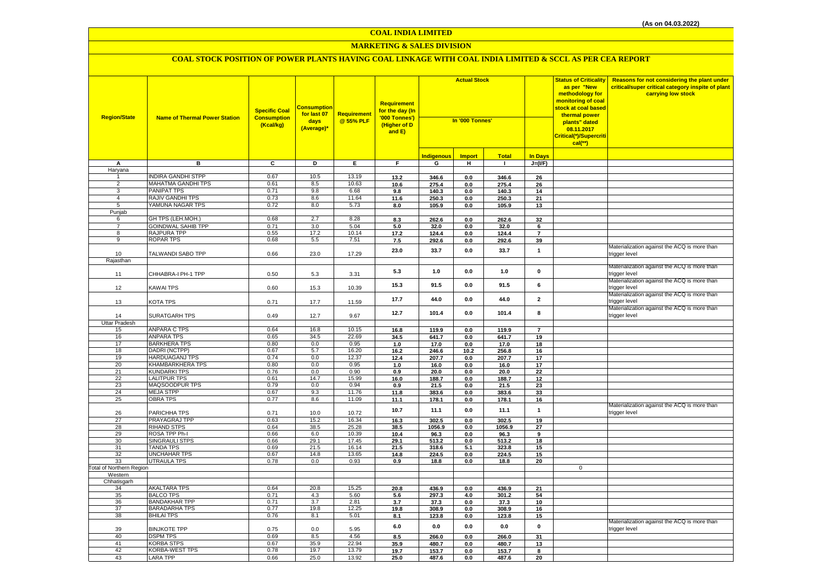#### **MARKETING & SALES DIVISION**

| <b>Region/State</b>      | <b>Name of Thermal Power Station</b>            | <b>Specific Coal</b><br><b>Consumption</b><br>(Kcal/kg) | Consumption<br>for last 07<br>days<br>(Average)* | <b>Requirement</b><br>@ 55% PLF | Requirement<br>for the day (In<br>'000 Tonnes')<br>(Higher of D<br>and E) | <b>Actual Stock</b><br>In '000 Tonnes' |               |                |                         | <b>Status of Criticality</b><br>as per "New<br>methodology for<br>monitoring of coal<br>stock at coal based<br>thermal power<br>plants" dated<br>08.11.2017<br>Critical(*)/Supercriti<br>$cal(**)$ | Reasons for not considering the plant under<br>critical/super critical category inspite of plant<br>carrying low stock |
|--------------------------|-------------------------------------------------|---------------------------------------------------------|--------------------------------------------------|---------------------------------|---------------------------------------------------------------------------|----------------------------------------|---------------|----------------|-------------------------|----------------------------------------------------------------------------------------------------------------------------------------------------------------------------------------------------|------------------------------------------------------------------------------------------------------------------------|
|                          |                                                 |                                                         |                                                  |                                 |                                                                           | <b>Indigenous</b>                      | <b>Import</b> | <b>Total</b>   | <b>In Days</b>          |                                                                                                                                                                                                    |                                                                                                                        |
| A                        | в                                               | $\overline{c}$                                          | Þ                                                | E.                              | F.                                                                        | G                                      | H             | $\mathbf{L}$   | $J=(VF)$                |                                                                                                                                                                                                    |                                                                                                                        |
| Haryana                  |                                                 |                                                         |                                                  |                                 |                                                                           |                                        |               |                |                         |                                                                                                                                                                                                    |                                                                                                                        |
|                          | <b>INDIRA GANDHI STPP</b>                       | 0.67                                                    | 10.5                                             | 13.19                           | 13.2                                                                      | 346.6                                  | 0.0           | 346.6          | 26                      |                                                                                                                                                                                                    |                                                                                                                        |
| $\overline{2}$           | MAHATMA GANDHI TPS                              | 0.61                                                    | 8.5                                              | 10.63                           | 10.6                                                                      | 275.4                                  | 0.0           | 275.4          | 26                      |                                                                                                                                                                                                    |                                                                                                                        |
| 3                        | <b>PANIPAT TPS</b>                              | 0.71                                                    | 9.8                                              | 6.68                            | 9.8                                                                       | 140.3                                  | 0.0           | 140.3          | 14                      |                                                                                                                                                                                                    |                                                                                                                        |
| $\overline{4}$           | <b>RAJIV GANDHI TPS</b>                         | 0.73                                                    | 8.6                                              | 11.64                           | 11.6                                                                      | 250.3                                  | 0.0           | 250.3          | 21                      |                                                                                                                                                                                                    |                                                                                                                        |
| $\overline{5}$           | YAMUNA NAGAR TPS                                | 0.72                                                    | 8.0                                              | 5.73                            | 8.0                                                                       | 105.9                                  | 0.0           | 105.9          | 13                      |                                                                                                                                                                                                    |                                                                                                                        |
| Punjab                   |                                                 |                                                         |                                                  |                                 |                                                                           |                                        |               |                |                         |                                                                                                                                                                                                    |                                                                                                                        |
| 6                        | GH TPS (LEH.MOH.)                               | 0.68                                                    | 2.7                                              | 8.28                            | 8.3                                                                       | 262.6                                  | 0.0           | 262.6          | 32                      |                                                                                                                                                                                                    |                                                                                                                        |
| $\overline{7}$           | <b>GOINDWAL SAHIB TPP</b><br><b>RAJPURA TPP</b> | 0.71<br>0.55                                            | 3.0<br>17.2                                      | 5.04<br>10.14                   | 5.0                                                                       | 32.0                                   | 0.0           | 32.0           | 6                       |                                                                                                                                                                                                    |                                                                                                                        |
| 8<br>9                   | <b>ROPAR TPS</b>                                | 0.68                                                    | 5.5                                              | 7.51                            | 17.2                                                                      | 124.4                                  | 0.0           | 124.4          | $\overline{7}$<br>39    |                                                                                                                                                                                                    |                                                                                                                        |
|                          |                                                 |                                                         |                                                  |                                 | 7.5                                                                       | 292.6                                  | 0.0           | 292.6          |                         |                                                                                                                                                                                                    | Materialization against the ACQ is more than                                                                           |
| 10<br>Rajasthan          | TALWANDI SABO TPP                               | 0.66                                                    | 23.0                                             | 17.29                           | 23.0                                                                      | 33.7                                   | 0.0           | 33.7           | $\mathbf{1}$            |                                                                                                                                                                                                    | trigger level                                                                                                          |
|                          |                                                 |                                                         |                                                  |                                 |                                                                           |                                        |               |                |                         |                                                                                                                                                                                                    | Materialization against the ACQ is more than                                                                           |
| 11                       | CHHABRA-I PH-1 TPP                              | 0.50                                                    | $5.3\,$                                          | 3.31                            | 5.3                                                                       | 1.0                                    | 0.0           | 1.0            | 0                       |                                                                                                                                                                                                    | rigger level                                                                                                           |
| 12                       | <b>KAWAI TPS</b>                                | 0.60                                                    | 15.3                                             | 10.39                           | 15.3                                                                      | 91.5                                   | 0.0           | 91.5           | 6                       |                                                                                                                                                                                                    | Materialization against the ACQ is more than<br>rigger level                                                           |
| 13                       | KOTA TPS                                        | 0.71                                                    | 17.7                                             | 11.59                           | 17.7                                                                      | 44.0                                   | 0.0           | 44.0           | $\overline{2}$          |                                                                                                                                                                                                    | Materialization against the ACQ is more than<br>rigger level                                                           |
| 14                       | SURATGARH TPS                                   | 0.49                                                    | 12.7                                             | 9.67                            | 12.7                                                                      | 101.4                                  | 0.0           | 101.4          | 8                       |                                                                                                                                                                                                    | Materialization against the ACQ is more than<br>trigger level                                                          |
| <b>Uttar Pradesh</b>     |                                                 |                                                         |                                                  |                                 |                                                                           |                                        |               |                |                         |                                                                                                                                                                                                    |                                                                                                                        |
| 15                       | <b>ANPARA C TPS</b>                             | 0.64                                                    | 16.8                                             | 10.15                           | 16.8                                                                      | 119.9                                  | 0.0           | 119.9          | $\overline{7}$          |                                                                                                                                                                                                    |                                                                                                                        |
| 16                       | <b>ANPARA TPS</b>                               | 0.65                                                    | 34.5                                             | 22.69                           | 34.5                                                                      | 641.7                                  | 0.0           | 641.7          | 19                      |                                                                                                                                                                                                    |                                                                                                                        |
| 17                       | <b>BARKHERA TPS</b>                             | 0.80                                                    | 0.0                                              | 0.95                            | 1.0                                                                       | 17.0                                   | 0.0           | 17.0           | 18                      |                                                                                                                                                                                                    |                                                                                                                        |
| 18                       | DADRI (NCTPP)                                   | 0.67                                                    | 5.7                                              | 16.20                           | 16.2                                                                      | 246.6                                  | 10.2          | 256.8          | 16                      |                                                                                                                                                                                                    |                                                                                                                        |
| 19                       | <b>HARDUAGANJ TPS</b>                           | 0.74                                                    | 0.0                                              | 12.37                           | 12.4                                                                      | 207.7                                  | 0.0           | 207.7          | 17                      |                                                                                                                                                                                                    |                                                                                                                        |
| 20<br>21                 | <b>KHAMBARKHERA TPS</b><br><b>KUNDARKI TPS</b>  | 0.80<br>0.76                                            | 0.0<br>0.0                                       | 0.95<br>0.90                    | 1.0<br>0.9                                                                | 16.0<br>20.0                           | 0.0<br>0.0    | 16.0<br>20.0   | 17<br>22                |                                                                                                                                                                                                    |                                                                                                                        |
| 22                       | <b>LALITPUR TPS</b>                             | 0.61                                                    | 14.7                                             | 15.99                           | 16.0                                                                      | 188.7                                  | 0.0           | 188.7          | 12                      |                                                                                                                                                                                                    |                                                                                                                        |
| 23                       | MAQSOODPUR TPS                                  | 0.79                                                    | 0.0                                              | 0.94                            | 0.9                                                                       | 21.5                                   | 0.0           | 21.5           | 23                      |                                                                                                                                                                                                    |                                                                                                                        |
| 24                       | <b>MEJA STPP</b>                                | 0.67                                                    | 9.3                                              | 11.76                           | 11.8                                                                      | 383.6                                  | 0.0           | 383.6          | 33                      |                                                                                                                                                                                                    |                                                                                                                        |
| 25                       | <b>OBRA TPS</b>                                 | 0.77                                                    | 8.6                                              | 11.09                           | 11.1                                                                      | 178.1                                  | 0.0           | 178.1          | 16                      |                                                                                                                                                                                                    |                                                                                                                        |
|                          |                                                 |                                                         |                                                  |                                 |                                                                           |                                        |               |                |                         |                                                                                                                                                                                                    | Materialization against the ACQ is more than                                                                           |
| 26                       | PARICHHA TPS                                    | 0.71                                                    | 10.0                                             | 10.72                           | 10.7                                                                      | 11.1                                   | 0.0           | 11.1           | $\mathbf{1}$            |                                                                                                                                                                                                    | trigger level                                                                                                          |
| 27                       | PRAYAGRAJ TPP                                   | 0.63                                                    | 15.2                                             | 16.34                           | 16.3                                                                      | 302.5                                  | 0.0           | 302.5          | 19                      |                                                                                                                                                                                                    |                                                                                                                        |
| 28                       | <b>RIHAND STPS</b>                              | 0.64                                                    | 38.5                                             | 25.28                           | 38.5                                                                      | 1056.9                                 | 0.0           | 1056.9         | 27                      |                                                                                                                                                                                                    |                                                                                                                        |
| 29                       | ROSA TPP Ph-I                                   | 0.66                                                    | 6.0                                              | 10.39                           | 10.4                                                                      | 96.3                                   | 0.0           | 96.3           | $\overline{\mathbf{g}}$ |                                                                                                                                                                                                    |                                                                                                                        |
| 30                       | SINGRAULI STPS                                  | 0.66                                                    | 29.1                                             | 17.45                           | 29.1                                                                      | 513.2                                  | 0.0           | 513.2          | 18                      |                                                                                                                                                                                                    |                                                                                                                        |
| 31<br>32                 | <b>TANDA TPS</b><br><b>UNCHAHAR TPS</b>         | 0.69<br>0.67                                            | 21.5<br>14.8                                     | 16.14<br>13.65                  | 21.5<br>14.8                                                              | 318.6<br>224.5                         | 5.1<br>0.0    | 323.8<br>224.5 | 15<br>15                |                                                                                                                                                                                                    |                                                                                                                        |
| 33                       | <b>UTRAULA TPS</b>                              | 0.78                                                    | 0.0                                              | 0.93                            | 0.9                                                                       | 18.8                                   | 0.0           | 18.8           | 20                      |                                                                                                                                                                                                    |                                                                                                                        |
| Total of Northern Region |                                                 |                                                         |                                                  |                                 |                                                                           |                                        |               |                |                         | $\mathbf 0$                                                                                                                                                                                        |                                                                                                                        |
| Western                  |                                                 |                                                         |                                                  |                                 |                                                                           |                                        |               |                |                         |                                                                                                                                                                                                    |                                                                                                                        |
| Chhatisgarh              |                                                 |                                                         |                                                  |                                 |                                                                           |                                        |               |                |                         |                                                                                                                                                                                                    |                                                                                                                        |
| 34                       | <b>AKALTARA TPS</b>                             | 0.64                                                    | 20.8                                             | 15.25                           | 20.8                                                                      | 436.9                                  | 0.0           | 436.9          | 21                      |                                                                                                                                                                                                    |                                                                                                                        |
| 35                       | <b>BALCO TPS</b>                                | 0.71                                                    | 4.3                                              | 5.60                            | 5.6                                                                       | 297.3                                  | 4.0           | 301.2          | 54                      |                                                                                                                                                                                                    |                                                                                                                        |
| 36                       | <b>BANDAKHAR TPP</b>                            | 0.71                                                    | 3.7                                              | 2.81                            | 3.7                                                                       | 37.3                                   | 0.0           | 37.3           | 10                      |                                                                                                                                                                                                    |                                                                                                                        |
| 37                       | <b>BARADARHA TPS</b>                            | 0.77                                                    | 19.8                                             | 12.25                           | 19.8                                                                      | 308.9                                  | 0.0           | 308.9          | 16                      |                                                                                                                                                                                                    |                                                                                                                        |
| 38                       | <b>BHILAI TPS</b>                               | 0.76                                                    | 8.1                                              | 5.01                            | 8.1                                                                       | 123.8                                  | 0.0           | 123.8          | 15                      |                                                                                                                                                                                                    | Materialization against the ACQ is more than                                                                           |
| 39                       | <b>BINJKOTE TPP</b>                             | 0.75                                                    | 0.0                                              | 5.95                            | $6.0\,$                                                                   | 0.0                                    | 0.0           | $0.0\,$        | $\pmb{0}$               |                                                                                                                                                                                                    | trigger level                                                                                                          |
| 40                       | <b>DSPM TPS</b>                                 | 0.69                                                    | 8.5                                              | 4.56                            | 8.5                                                                       | 266.0                                  | 0.0           | 266.0          | 31                      |                                                                                                                                                                                                    |                                                                                                                        |
| 41                       | <b>KORBA STPS</b>                               | 0.67                                                    | 35.9                                             | 22.94                           | 35.9                                                                      | 480.7                                  | 0.0           | 480.7          | 13                      |                                                                                                                                                                                                    |                                                                                                                        |
| 42<br>43                 | <b>KORBA-WEST TPS</b><br><b>LARA TPP</b>        | 0.78<br>0.66                                            | 19.7<br>25.0                                     | 13.79<br>13.92                  | 19.7<br>25.0                                                              | 153.7<br>487.6                         | 0.0<br>0.0    | 153.7<br>487.6 | 8<br>20                 |                                                                                                                                                                                                    |                                                                                                                        |
|                          |                                                 |                                                         |                                                  |                                 |                                                                           |                                        |               |                |                         |                                                                                                                                                                                                    |                                                                                                                        |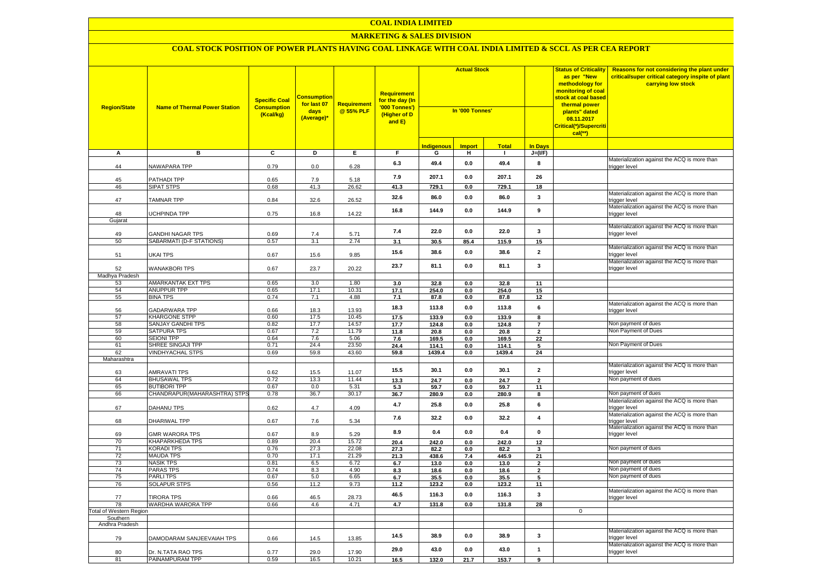# **MARKETING & SALES DIVISION**

| <b>Region/State</b>     | <b>Name of Thermal Power Station</b>             | <b>Specific Coal</b><br><b>Consumption</b><br>(Kcal/kg) | <mark>Consumption</mark><br>for last 07<br>days<br>(Average)* | Requirement<br>@ 55% PLF | Requirement<br>for the day (In<br>'000 Tonnes')<br>(Higher of D<br>and E) | <b>Actual Stock</b><br>In '000 Tonnes' |                       |                |                                  | <b>Status of Criticality</b><br>as per "New<br>methodology for<br>monitoring of coal<br>stock at coal based<br>thermal power<br>plants" dated<br>08.11.2017<br>Critical(*)/Supercriti<br>$cal(**)$ | Reasons for not considering the plant under<br>critical/super critical category inspite of plant<br>carrying low stock |
|-------------------------|--------------------------------------------------|---------------------------------------------------------|---------------------------------------------------------------|--------------------------|---------------------------------------------------------------------------|----------------------------------------|-----------------------|----------------|----------------------------------|----------------------------------------------------------------------------------------------------------------------------------------------------------------------------------------------------|------------------------------------------------------------------------------------------------------------------------|
|                         |                                                  |                                                         |                                                               |                          |                                                                           | <b>Indigenous</b>                      | <b>Import</b>         | <b>Total</b>   | <b>In Days</b>                   |                                                                                                                                                                                                    |                                                                                                                        |
| A                       | в                                                | C                                                       | D                                                             | Е.                       | F.                                                                        | G                                      | н.                    | л.             | $J=(I/F)$                        |                                                                                                                                                                                                    |                                                                                                                        |
| 44                      | NAWAPARA TPP                                     | 0.79                                                    | 0.0                                                           | 6.28                     | 6.3                                                                       | 49.4                                   | 0.0                   | 49.4           | 8                                |                                                                                                                                                                                                    | Materialization against the ACQ is more than<br>trigger level                                                          |
| 45                      | PATHADI TPP                                      | 0.65                                                    | 7.9                                                           | 5.18                     | 7.9                                                                       | 207.1                                  | 0.0                   | 207.1          | 26                               |                                                                                                                                                                                                    |                                                                                                                        |
| 46                      | <b>SIPAT STPS</b>                                | 0.68                                                    | 41.3                                                          | 26.62                    | 41.3                                                                      | 729.1                                  | 0.0                   | 729.1          | 18                               |                                                                                                                                                                                                    | Materialization against the ACQ is more than                                                                           |
| 47                      | <b>TAMNAR TPP</b>                                | 0.84                                                    | 32.6                                                          | 26.52                    | 32.6                                                                      | 86.0                                   | 0.0                   | 86.0           | 3                                |                                                                                                                                                                                                    | trigger level<br>Materialization against the ACQ is more than                                                          |
| 48                      | <b>UCHPINDA TPP</b>                              | 0.75                                                    | 16.8                                                          | 14.22                    | 16.8                                                                      | 144.9                                  | 0.0                   | 144.9          | $\boldsymbol{9}$                 |                                                                                                                                                                                                    | trigger level                                                                                                          |
| Gujarat                 |                                                  |                                                         |                                                               |                          |                                                                           |                                        |                       |                |                                  |                                                                                                                                                                                                    | Materialization against the ACQ is more than                                                                           |
| 49                      | <b>GANDHI NAGAR TPS</b>                          | 0.69                                                    | 7.4                                                           | 5.71                     | 7.4                                                                       | 22.0                                   | 0.0                   | 22.0           | 3                                |                                                                                                                                                                                                    | trigger level                                                                                                          |
| 50                      | SABARMATI (D-F STATIONS)                         | 0.57                                                    | 3.1                                                           | 2.74                     | 3.1                                                                       | 30.5                                   | 85.4                  | 115.9          | 15                               |                                                                                                                                                                                                    |                                                                                                                        |
| 51                      | <b>UKAI TPS</b>                                  | 0.67                                                    | 15.6                                                          | 9.85                     | 15.6                                                                      | 38.6                                   | 0.0                   | 38.6           | $\mathbf{2}$                     |                                                                                                                                                                                                    | Materialization against the ACQ is more than<br>trigger level                                                          |
| 52                      | <b>WANAKBORI TPS</b>                             | 0.67                                                    | 23.7                                                          | 20.22                    | 23.7                                                                      | 81.1                                   | 0.0                   | 81.1           | $\mathbf{3}$                     |                                                                                                                                                                                                    | Materialization against the ACQ is more than<br>trigger level                                                          |
| Madhya Pradesh<br>53    | AMARKANTAK EXT TPS                               | 0.65                                                    | 3.0                                                           | 1.80                     | 3.0                                                                       | 32.8                                   | 0.0                   | 32.8           | 11                               |                                                                                                                                                                                                    |                                                                                                                        |
| 54                      | ANUPPUR TPP                                      | 0.65                                                    | 17.1                                                          | 10.31                    | 17.1                                                                      | 254.0                                  | 0.0                   | 254.0          | 15                               |                                                                                                                                                                                                    |                                                                                                                        |
| 55                      | <b>BINA TPS</b>                                  | 0.74                                                    | 7.1                                                           | 4.88                     | 7.1                                                                       | 87.8                                   | 0.0                   | 87.8           | 12                               |                                                                                                                                                                                                    |                                                                                                                        |
| 56                      | <b>GADARWARA TPP</b>                             | 0.66                                                    | 18.3                                                          | 13.93                    | 18.3                                                                      | 113.8                                  | 0.0                   | 113.8          | 6                                |                                                                                                                                                                                                    | Materialization against the ACQ is more than<br>trigger level                                                          |
| 57<br>58                | <b>KHARGONE STPP</b><br><b>SANJAY GANDHI TPS</b> | 0.60<br>0.82                                            | 17.5<br>17.7                                                  | 10.45<br>14.57           | 17.5                                                                      | 133.9                                  | 0.0                   | 133.9          | 8                                |                                                                                                                                                                                                    | Non payment of dues                                                                                                    |
| 59                      | <b>SATPURA TPS</b>                               | 0.67                                                    | 7.2                                                           | 11.79                    | 17.7<br>11.8                                                              | 124.8<br>20.8                          | $\mathbf{0.0}$<br>0.0 | 124.8<br>20.8  | $\overline{7}$<br>$\overline{2}$ |                                                                                                                                                                                                    | Non Payment of Dues                                                                                                    |
| 60                      | <b>SEIONI TPP</b>                                | 0.64                                                    | 7.6                                                           | 5.06                     | 7.6                                                                       | 169.5                                  | 0.0                   | 169.5          | $\overline{22}$                  |                                                                                                                                                                                                    |                                                                                                                        |
| 61                      | SHREE SINGAJI TPP                                | 0.71                                                    | 24.4                                                          | 23.50                    | 24.4                                                                      | 114.1                                  | 0.0                   | 114.1          | 5                                |                                                                                                                                                                                                    | Non Payment of Dues                                                                                                    |
| 62                      | <b>VINDHYACHAL STPS</b>                          | 0.69                                                    | 59.8                                                          | 43.60                    | 59.8                                                                      | 1439.4                                 | 0.0                   | 1439.4         | 24                               |                                                                                                                                                                                                    |                                                                                                                        |
| Maharashtra<br>63       | <b>AMRAVATI TPS</b>                              | 0.62                                                    | 15.5                                                          | 11.07                    | 15.5                                                                      | 30.1                                   | 0.0                   | 30.1           | $\mathbf{2}$                     |                                                                                                                                                                                                    | Materialization against the ACQ is more than<br>trigger level                                                          |
| 64                      | <b>BHUSAWAL TPS</b>                              | 0.72                                                    | 13.3                                                          | 11.44                    | 13.3                                                                      | 24.7                                   | 0.0                   | 24.7           | $\overline{2}$                   |                                                                                                                                                                                                    | Non payment of dues                                                                                                    |
| 65                      | <b>BUTIBORI TPP</b>                              | 0.67                                                    | 0.0                                                           | 5.31                     | 5.3                                                                       | 59.7                                   | 0.0                   | 59.7           | 11                               |                                                                                                                                                                                                    |                                                                                                                        |
| 66                      | CHANDRAPUR(MAHARASHTRA) STPS                     | 0.78                                                    | 36.7                                                          | 30.17                    | 36.7                                                                      | 280.9                                  | 0.0                   | 280.9          | 8                                |                                                                                                                                                                                                    | Non payment of dues                                                                                                    |
| 67                      | DAHANU TPS                                       | 0.62                                                    | 4.7                                                           | 4.09                     | 4.7                                                                       | 25.8                                   | 0.0                   | 25.8           | 6                                |                                                                                                                                                                                                    | Materialization against the ACQ is more than<br>trigger level                                                          |
| 68                      | <b>DHARIWAL TPP</b>                              | 0.67                                                    | 7.6                                                           | 5.34                     | 7.6                                                                       | 32.2                                   | 0.0                   | 32.2           | $\overline{4}$                   |                                                                                                                                                                                                    | Materialization against the ACQ is more than<br>trigger level<br>Materialization against the ACQ is more than          |
| 69<br>70                | <b>GMR WARORA TPS</b><br><b>KHAPARKHEDA TPS</b>  | 0.67<br>0.89                                            | 8.9<br>20.4                                                   | 5.29<br>15.72            | 8.9                                                                       | 0.4                                    | 0.0                   | 0.4            | $\pmb{0}$                        |                                                                                                                                                                                                    | trigger level                                                                                                          |
| 71                      | <b>KORADI TPS</b>                                | 0.76                                                    | 27.3                                                          | 22.08                    | 20.4<br>27.3                                                              | 242.0<br>82.2                          | 0.0<br>0.0            | 242.0<br>82.2  | 12<br>3                          |                                                                                                                                                                                                    | Non payment of dues                                                                                                    |
| 72                      | <b>MAUDA TPS</b>                                 | 0.70                                                    | 17.1                                                          | 21.29                    | 21.3                                                                      | 438.6                                  | 7.4                   | 445.9          | 21                               |                                                                                                                                                                                                    |                                                                                                                        |
| 73                      | <b>NASIK TPS</b>                                 | 0.81                                                    | 6.5                                                           | 6.72                     | 6.7                                                                       | 13.0                                   | 0.0                   | 13.0           | $\mathbf{2}$                     |                                                                                                                                                                                                    | Non payment of dues                                                                                                    |
| 74                      | <b>PARAS TPS</b>                                 | 0.74                                                    | 8.3                                                           | 4.90                     | 8.3                                                                       | 18.6                                   | 0.0                   | 18.6           | $\mathbf{2}$                     |                                                                                                                                                                                                    | Non payment of dues                                                                                                    |
| 75                      | <b>PARLITPS</b>                                  | 0.67                                                    | 5.0                                                           | 6.65                     | 6.7                                                                       | 35.5                                   | 0.0                   | 35.5           | 5                                |                                                                                                                                                                                                    | Non payment of dues                                                                                                    |
| 76                      | SOLAPUR STPS                                     | 0.56                                                    | 11.2                                                          | 9.73                     | 11.2                                                                      | 123.2                                  | 0.0                   | 123.2          | 11                               |                                                                                                                                                                                                    | Materialization against the ACQ is more than                                                                           |
| 77<br>78                | <b>TIRORA TPS</b><br>WARDHA WARORA TPP           | 0.66<br>0.66                                            | 46.5<br>4.6                                                   | 28.73<br>4.71            | 46.5<br>4.7                                                               | 116.3<br>131.8                         | 0.0<br>0.0            | 116.3<br>131.8 | 3<br>28                          |                                                                                                                                                                                                    | trigger level                                                                                                          |
| Total of Western Region |                                                  |                                                         |                                                               |                          |                                                                           |                                        |                       |                |                                  | $\mathbf 0$                                                                                                                                                                                        |                                                                                                                        |
| Southern                |                                                  |                                                         |                                                               |                          |                                                                           |                                        |                       |                |                                  |                                                                                                                                                                                                    |                                                                                                                        |
| Andhra Pradesh          |                                                  |                                                         |                                                               |                          |                                                                           |                                        |                       |                |                                  |                                                                                                                                                                                                    | Materialization against the ACQ is more than                                                                           |
| 79                      | DAMODARAM SANJEEVAIAH TPS                        | 0.66                                                    | 14.5                                                          | 13.85                    | 14.5                                                                      | 38.9                                   | 0.0                   | 38.9           | 3                                |                                                                                                                                                                                                    | trigger level<br>Materialization against the ACQ is more than                                                          |
| 80                      | Dr. N.TATA RAO TPS<br>PAINAMPURAM TPP            | 0.77<br>0.59                                            | 29.0<br>16.5                                                  | 17.90<br>10.21           | 29.0                                                                      | 43.0                                   | 0.0                   | 43.0           | $\mathbf{1}$                     |                                                                                                                                                                                                    | trigger level                                                                                                          |
| 81                      |                                                  |                                                         |                                                               |                          | 16.5                                                                      | 132.0                                  | 21.7                  | 153.7          | 9                                |                                                                                                                                                                                                    |                                                                                                                        |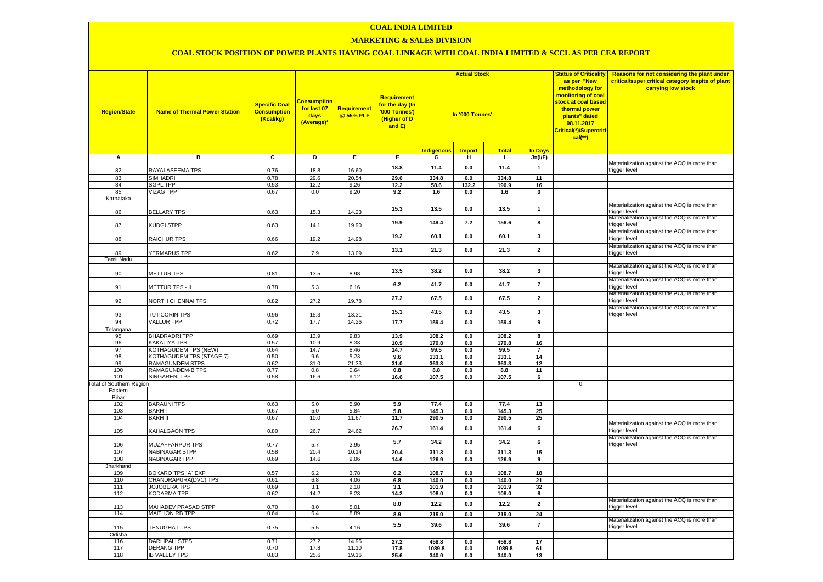# **MARKETING & SALES DIVISION**

| <b>Region/State</b>             | <b>Name of Thermal Power Station</b> | <b>Specific Coal</b><br><b>Consumption</b><br>(Kcal/kg) | <mark>Consumption</mark><br>for last 07<br>days<br>(Average)* | <b>Requirement</b><br>@ 55% PLF | Requirement<br>for the day (In<br>'000 Tonnes')<br>(Higher of D<br>and E) | <b>Actual Stock</b><br>In '000 Tonnes' |               |                |                                | <b>Status of Criticality</b><br>as per "New<br>methodology for<br>monitoring of coal<br>stock at coal based<br>thermal power<br>plants" dated<br>08.11.2017<br>Critical(*)/Supercriti<br>$cal$ (**) | <b>Reasons for not considering the plant under</b><br>critical/super critical category inspite of plant<br>carrying low stock |
|---------------------------------|--------------------------------------|---------------------------------------------------------|---------------------------------------------------------------|---------------------------------|---------------------------------------------------------------------------|----------------------------------------|---------------|----------------|--------------------------------|-----------------------------------------------------------------------------------------------------------------------------------------------------------------------------------------------------|-------------------------------------------------------------------------------------------------------------------------------|
|                                 |                                      |                                                         |                                                               |                                 |                                                                           | I <mark>ndigenous</mark>               | <b>Import</b> | <b>Total</b>   | <b>In Days</b>                 |                                                                                                                                                                                                     |                                                                                                                               |
| A                               | в                                    | $\overline{c}$                                          | Þ                                                             | E                               | F.                                                                        | G                                      | н.            | $\mathbf{L}$   | $J=(VF)$                       |                                                                                                                                                                                                     |                                                                                                                               |
| 82                              | RAYALASEEMA TPS                      | 0.76                                                    | 18.8                                                          | 16.60                           | 18.8                                                                      | 11.4                                   | 0.0           | 11.4           | $\overline{1}$                 |                                                                                                                                                                                                     | Materialization against the ACQ is more than<br>trigger level                                                                 |
| 83                              | <b>SIMHADRI</b>                      | 0.78                                                    | 29.6                                                          | 20.54                           | 29.6                                                                      | 334.8                                  | 0.0           | 334.8          | 11                             |                                                                                                                                                                                                     |                                                                                                                               |
| 84                              | <b>SGPL TPP</b>                      | 0.53                                                    | 12.2                                                          | 9.26                            | 12.2                                                                      | 58.6                                   | 132.2         | 190.9          | 16                             |                                                                                                                                                                                                     |                                                                                                                               |
| 85                              | <b>VIZAG TPP</b>                     | 0.67                                                    | 0.0                                                           | 9.20                            | 9.2                                                                       | 1.6                                    | 0.0           | 1.6            | $\mathbf 0$                    |                                                                                                                                                                                                     |                                                                                                                               |
| Karnataka<br>86                 | <b>BELLARY TPS</b>                   | 0.63                                                    | 15.3                                                          | 14.23                           | 15.3                                                                      | 13.5                                   | 0.0           | 13.5           | $\mathbf{1}$                   |                                                                                                                                                                                                     | Materialization against the ACQ is more than<br>trigger level                                                                 |
| 87                              | KUDGI STPP                           | 0.63                                                    | 14.1                                                          | 19.90                           | 19.9                                                                      | 149.4                                  | 7.2           | 156.6          | 8                              |                                                                                                                                                                                                     | Materialization against the ACQ is more than<br>trigger level                                                                 |
| 88                              | RAICHUR TPS                          | 0.66                                                    | 19.2                                                          | 14.98                           | 19.2                                                                      | 60.1                                   | 0.0           | 60.1           | $\mathbf{3}$                   |                                                                                                                                                                                                     | Materialization against the ACQ is more than<br>trigger level                                                                 |
| 89                              | YERMARUS TPP                         | 0.62                                                    | 7.9                                                           | 13.09                           | 13.1                                                                      | 21.3                                   | 0.0           | 21.3           | $\overline{2}$                 |                                                                                                                                                                                                     | Materialization against the ACQ is more than<br>trigger level                                                                 |
| <b>Tamil Nadu</b>               |                                      |                                                         |                                                               |                                 |                                                                           |                                        |               |                |                                |                                                                                                                                                                                                     |                                                                                                                               |
| 90                              | <b>METTUR TPS</b>                    | 0.81                                                    | 13.5                                                          | 8.98                            | 13.5                                                                      | 38.2                                   | 0.0           | 38.2           | $\mathbf{3}$                   |                                                                                                                                                                                                     | Materialization against the ACQ is more than<br>rigger level                                                                  |
| 91                              | METTUR TPS - II                      | 0.78                                                    | 5.3                                                           | 6.16                            | $6.2\,$                                                                   | 41.7                                   | 0.0           | 41.7           | $\overline{7}$                 |                                                                                                                                                                                                     | Materialization against the ACQ is more than<br>trigger level<br>Materialization against the ACQ is more than                 |
| 92                              | NORTH CHENNAI TPS                    | 0.82                                                    | 27.2                                                          | 19.78                           | 27.2                                                                      | 67.5                                   | 0.0           | 67.5           | $\overline{2}$                 |                                                                                                                                                                                                     | trigger level<br>Materialization against the ACQ is more than                                                                 |
| 93<br>94                        | TUTICORIN TPS<br><b>VALLUR TPP</b>   | 0.96<br>0.72                                            | 15.3<br>17.7                                                  | 13.31<br>14.26                  | 15.3<br>17.7                                                              | 43.5<br>159.4                          | 0.0<br>0.0    | 43.5<br>159.4  | $\mathbf{3}$<br>$\overline{9}$ |                                                                                                                                                                                                     | trigger level                                                                                                                 |
| Telangana                       |                                      |                                                         |                                                               |                                 |                                                                           |                                        |               |                |                                |                                                                                                                                                                                                     |                                                                                                                               |
| 95                              | <b>BHADRADRI TPP</b>                 | 0.69                                                    | 13.9                                                          | 9.83                            | 13.9                                                                      | 108.2                                  | 0.0           | 108.2          | 8                              |                                                                                                                                                                                                     |                                                                                                                               |
| 96                              | <b>KAKATIYA TPS</b>                  | 0.57                                                    | 10.9                                                          | 8.33                            | 10.9                                                                      | 179.8                                  | 0.0           | 179.8          | 16                             |                                                                                                                                                                                                     |                                                                                                                               |
| 97                              | KOTHAGUDEM TPS (NEW)                 | 0.64                                                    | 14.7                                                          | 8.46                            | 14.7                                                                      | 99.5                                   | 0.0           | 99.5           | $\overline{7}$                 |                                                                                                                                                                                                     |                                                                                                                               |
| 98                              | <b>KOTHAGUDEM TPS (STAGE-7)</b>      | 0.50                                                    | 9.6                                                           | 5.23                            | 9.6                                                                       | 133.1                                  | 0.0           | 133.1          | 14                             |                                                                                                                                                                                                     |                                                                                                                               |
| 99                              | <b>RAMAGUNDEM STPS</b>               | 0.62                                                    | 31.0                                                          | 21.33                           | 31.0                                                                      | 363.3                                  | 0.0           | 363.3          | 12                             |                                                                                                                                                                                                     |                                                                                                                               |
| 100                             | <b>RAMAGUNDEM-B TPS</b>              | 0.77                                                    | 0.8                                                           | 0.64                            | 0.8                                                                       | 8.8                                    | 0.0           | 8.8            | 11                             |                                                                                                                                                                                                     |                                                                                                                               |
| 101                             | <b>SINGARENI TPP</b>                 | 0.58                                                    | 16.6                                                          | 9.12                            | 16.6                                                                      | 107.5                                  | 0.0           | 107.5          | 6                              |                                                                                                                                                                                                     |                                                                                                                               |
| <b>Total of Southern Region</b> |                                      |                                                         |                                                               |                                 |                                                                           |                                        |               |                |                                | $\mathbf 0$                                                                                                                                                                                         |                                                                                                                               |
| Eastern                         |                                      |                                                         |                                                               |                                 |                                                                           |                                        |               |                |                                |                                                                                                                                                                                                     |                                                                                                                               |
| Bihar<br>102                    | <b>BARAUNI TPS</b>                   | 0.63                                                    | 5.0                                                           | 5.90                            | 5.9                                                                       | 77.4                                   | 0.0           | 77.4           | 13                             |                                                                                                                                                                                                     |                                                                                                                               |
| 103                             | <b>BARHI</b>                         | 0.67                                                    | 5.0                                                           | 5.84                            | 5.8                                                                       | 145.3                                  | 0.0           | 145.3          | 25                             |                                                                                                                                                                                                     |                                                                                                                               |
| 104                             | <b>BARH II</b>                       | 0.67                                                    | 10.0                                                          | 11.67                           | 11.7                                                                      | 290.5                                  | 0.0           | 290.5          | 25                             |                                                                                                                                                                                                     |                                                                                                                               |
| 105                             | <b>KAHALGAON TPS</b>                 | 0.80                                                    | 26.7                                                          | 24.62                           | 26.7                                                                      | 161.4                                  | 0.0           | 161.4          | 6                              |                                                                                                                                                                                                     | Materialization against the ACQ is more than<br>trigger level                                                                 |
| 106                             | MUZAFFARPUR TPS                      | 0.77                                                    | 5.7                                                           | 3.95                            | 5.7                                                                       | 34.2                                   | 0.0           | 34.2           | 6                              |                                                                                                                                                                                                     | Materialization against the ACQ is more than<br>trigger level                                                                 |
| 107                             | <b>NABINAGAR STPP</b>                | 0.58                                                    | 20.4                                                          | 10.14                           | 20.4                                                                      | 311.3                                  | 0.0           | 311.3          | 15                             |                                                                                                                                                                                                     |                                                                                                                               |
| 108                             | <b>NABINAGAR TPP</b>                 | 0.69                                                    | 14.6                                                          | 9.06                            | 14.6                                                                      | 126.9                                  | 0.0           | 126.9          | 9                              |                                                                                                                                                                                                     |                                                                                                                               |
| Jharkhand                       |                                      |                                                         |                                                               |                                 |                                                                           |                                        |               |                |                                |                                                                                                                                                                                                     |                                                                                                                               |
| 109<br>110                      | BOKARO TPS 'A' EXP                   | 0.57<br>0.61                                            | 6.2<br>6.8                                                    | 3.78<br>4.06                    | 6.2<br>6.8                                                                | 108.7<br>140.0                         | 0.0<br>0.0    | 108.7<br>140.0 | 18<br>21                       |                                                                                                                                                                                                     |                                                                                                                               |
| 111                             | CHANDRAPURA(DVC) TPS<br>JOJOBERA TPS | 0.69                                                    | 3.1                                                           | 2.18                            | 3.1                                                                       | 101.9                                  | 0.0           | 101.9          | 32                             |                                                                                                                                                                                                     |                                                                                                                               |
| 112                             | <b>KODARMA TPP</b>                   | 0.62                                                    | 14.2                                                          | 8.23                            | 14.2                                                                      | 108.0                                  | 0.0           | 108.0          | 8                              |                                                                                                                                                                                                     |                                                                                                                               |
| 113                             | <b>JAHADEV PRASAD STPP</b>           | 0.70                                                    | 8.0                                                           | 5.01                            | 8.0                                                                       | 12.2                                   | 0.0           | 12.2           | $\overline{2}$                 |                                                                                                                                                                                                     | Materialization against the ACQ is more than<br>rigger level                                                                  |
| 114                             | <b>MAITHON RB TPP</b>                | 0.64                                                    | 6.4                                                           | 8.89                            | 8.9                                                                       | 215.0                                  | 0.0           | 215.0          | ${\bf 24}$                     |                                                                                                                                                                                                     |                                                                                                                               |
| 115                             | TENUGHAT TPS                         | 0.75                                                    | 5.5                                                           | 4.16                            | 5.5                                                                       | 39.6                                   | 0.0           | 39.6           | $\overline{7}$                 |                                                                                                                                                                                                     | Materialization against the ACQ is more than<br>trigger level                                                                 |
| Odisha                          |                                      |                                                         |                                                               |                                 |                                                                           |                                        |               |                |                                |                                                                                                                                                                                                     |                                                                                                                               |
| 116                             | <b>DARLIPALI STPS</b>                | 0.71                                                    | 27.2                                                          | 14.95                           | 27.2                                                                      | 458.8                                  | 0.0           | 458.8          | 17                             |                                                                                                                                                                                                     |                                                                                                                               |
| 117                             | <b>DERANG TPP</b>                    | 0.70                                                    | 17.8                                                          | 11.10                           | 17.8                                                                      | 1089.8                                 | 0.0           | 1089.8         | 61                             |                                                                                                                                                                                                     |                                                                                                                               |
| 118                             | <b>IB VALLEY TPS</b>                 | 0.83                                                    | 25.6                                                          | 19.16                           | 25.6                                                                      | 340.0                                  | 0.0           | 340.0          | 13                             |                                                                                                                                                                                                     |                                                                                                                               |